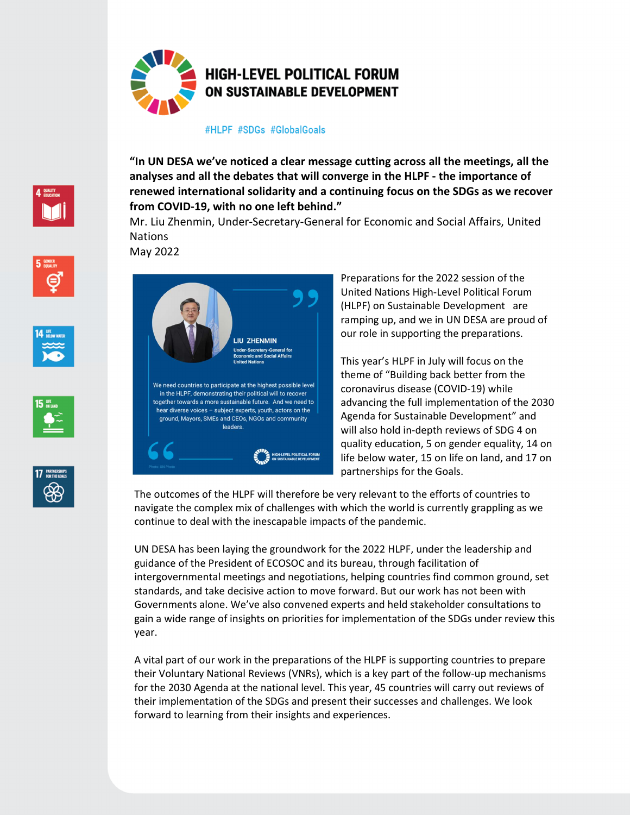

## #HLPF #SDGs #GlobalGoals

**"In UN DESA we've noticed a clear message cutting across all the meetings, all the analyses and all the debates that will converge in the HLPF - the importance of renewed international solidarity and a continuing focus on the SDGs as we recover from COVID-19, with no one left behind."** 

Mr. Liu Zhenmin, Under-Secretary-General for Economic and Social Affairs, United Nations

May 2022









LIU ZHENMIN We need countries to participate at the highest possible level in the HLPF, demonstrating their political will to recover together towards a more sustainable future. And we need to hear diverse voices - subject experts, youth, actors on the ground, Mayors, SMEs and CEOs, NGOs and community leaders.

Preparations for the 2022 session of the United Nations High-Level Political Forum (HLPF) on Sustainable Development are ramping up, and we in UN DESA are proud of our role in supporting the preparations.

This year's HLPF in July will focus on the theme of "Building back better from the coronavirus disease (COVID-19) while advancing the full implementation of the 2030 Agenda for Sustainable Development" and will also hold in-depth reviews of SDG 4 on quality education, 5 on gender equality, 14 on life below water, 15 on life on land, and 17 on partnerships for the Goals.

The outcomes of the HLPF will therefore be very relevant to the efforts of countries to navigate the complex mix of challenges with which the world is currently grappling as we continue to deal with the inescapable impacts of the pandemic.

UN DESA has been laying the groundwork for the 2022 HLPF, under the leadership and guidance of the President of ECOSOC and its bureau, through facilitation of intergovernmental meetings and negotiations, helping countries find common ground, set standards, and take decisive action to move forward. But our work has not been with Governments alone. We've also convened experts and held stakeholder consultations to gain a wide range of insights on priorities for implementation of the SDGs under review this year.

A vital part of our work in the preparations of the HLPF is supporting countries to prepare their Voluntary National Reviews (VNRs), which is a key part of the follow-up mechanisms for the 2030 Agenda at the national level. This year, 45 countries will carry out reviews of their implementation of the SDGs and present their successes and challenges. We look forward to learning from their insights and experiences.